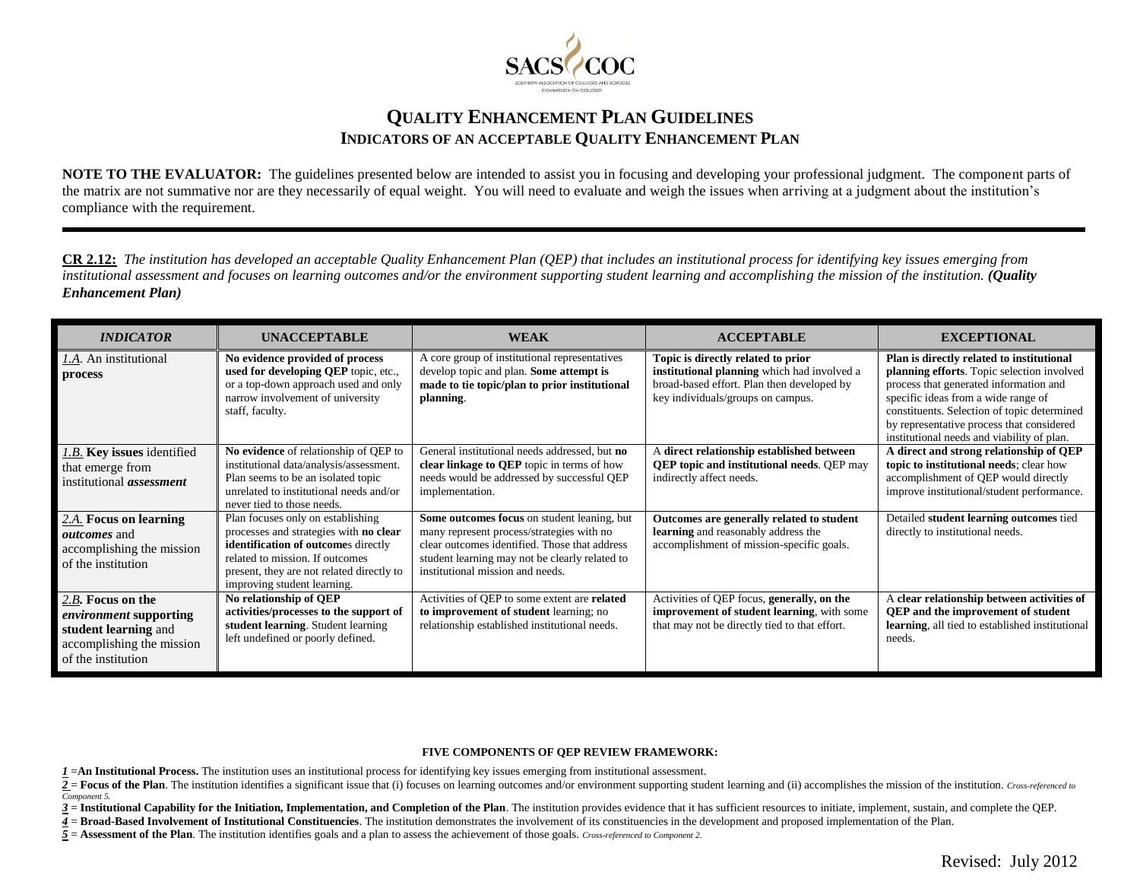

## **QUALITY ENHANCEMENT PLAN GUIDELINES INDICATORS OF AN ACCEPTABLE QUALITY ENHANCEMENT PLAN**

**NOTE TO THE EVALUATOR:** The guidelines presented below are intended to assist you in focusing and developing your professional judgment. The component parts of the matrix are not summative nor are they necessarily of equal weight. You will need to evaluate and weigh the issues when arriving at a judgment about the institution's compliance with the requirement.

**CR 2.12:** *The institution has developed an acceptable Quality Enhancement Plan (QEP) that includes an institutional process for identifying key issues emerging from institutional assessment and focuses on learning outcomes and/or the environment supporting student learning and accomplishing the mission of the institution. (Quality Enhancement Plan)*

| <b>INDICATOR</b>                                                                                                              | <b>UNACCEPTABLE</b>                                                                                                                                                                                                               | <b>WEAK</b>                                                                                                                                                                                                                     | <b>ACCEPTABLE</b>                                                                                                                                                    | <b>EXCEPTIONAL</b>                                                                                                                                                                                                                                                                                                 |
|-------------------------------------------------------------------------------------------------------------------------------|-----------------------------------------------------------------------------------------------------------------------------------------------------------------------------------------------------------------------------------|---------------------------------------------------------------------------------------------------------------------------------------------------------------------------------------------------------------------------------|----------------------------------------------------------------------------------------------------------------------------------------------------------------------|--------------------------------------------------------------------------------------------------------------------------------------------------------------------------------------------------------------------------------------------------------------------------------------------------------------------|
| <i>I.A.</i> An institutional<br>process                                                                                       | No evidence provided of process<br>used for developing QEP topic, etc.,<br>or a top-down approach used and only<br>narrow involvement of university<br>staff, faculty.                                                            | A core group of institutional representatives<br>develop topic and plan. Some attempt is<br>made to tie topic/plan to prior institutional<br>planning.                                                                          | Topic is directly related to prior<br>institutional planning which had involved a<br>broad-based effort. Plan then developed by<br>key individuals/groups on campus. | Plan is directly related to institutional<br>planning efforts. Topic selection involved<br>process that generated information and<br>specific ideas from a wide range of<br>constituents. Selection of topic determined<br>by representative process that considered<br>institutional needs and viability of plan. |
| <i>I.B.</i> <b>Key issues</b> identified<br>that emerge from<br>institutional <i>assessment</i>                               | No evidence of relationship of QEP to<br>institutional data/analysis/assessment.<br>Plan seems to be an isolated topic<br>unrelated to institutional needs and/or<br>never tied to those needs.                                   | General institutional needs addressed, but no<br>clear linkage to QEP topic in terms of how<br>needs would be addressed by successful QEP<br>implementation.                                                                    | A direct relationship established between<br><b>QEP</b> topic and institutional needs. QEP may<br>indirectly affect needs.                                           | A direct and strong relationship of QEP<br>topic to institutional needs; clear how<br>accomplishment of QEP would directly<br>improve institutional/student performance.                                                                                                                                           |
| $2.A.$ Focus on learning<br><i>outcomes</i> and<br>accomplishing the mission<br>of the institution                            | Plan focuses only on establishing<br>processes and strategies with no clear<br>identification of outcomes directly<br>related to mission. If outcomes<br>present, they are not related directly to<br>improving student learning. | Some outcomes focus on student leaning, but<br>many represent process/strategies with no<br>clear outcomes identified. Those that address<br>student learning may not be clearly related to<br>institutional mission and needs. | Outcomes are generally related to student<br>learning and reasonably address the<br>accomplishment of mission-specific goals.                                        | Detailed student learning outcomes tied<br>directly to institutional needs.                                                                                                                                                                                                                                        |
| 2.B. Focus on the<br><i>environment</i> supporting<br>student learning and<br>accomplishing the mission<br>of the institution | No relationship of QEP<br>activities/processes to the support of<br>student learning. Student learning<br>left undefined or poorly defined.                                                                                       | Activities of QEP to some extent are related<br>to improvement of student learning; no<br>relationship established institutional needs.                                                                                         | Activities of QEP focus, generally, on the<br><b>improvement of student learning</b> , with some<br>that may not be directly tied to that effort.                    | A clear relationship between activities of<br><b>QEP</b> and the improvement of student<br>learning, all tied to established institutional<br>needs.                                                                                                                                                               |

## **FIVE COMPONENTS OF QEP REVIEW FRAMEWORK:**

- *1* =**An Institutional Process.** The institution uses an institutional process for identifying key issues emerging from institutional assessment.
- 2 = Focus of the Plan. The institution identifies a significant issue that (i) focuses on learning outcomes and/or environment supporting student learning and (ii) accomplishes the mission of the institution. Cross-referen *Component 5.*

3 = Institutional Capability for the Initiation, Implementation, and Completion of the Plan. The institution provides evidence that it has sufficient resources to initiate, implement, sustain, and complete the QEP.

*4* = **Broad-Based Involvement of Institutional Constituencies**. The institution demonstrates the involvement of its constituencies in the development and proposed implementation of the Plan.

*5* = **Assessment of the Plan**. The institution identifies goals and a plan to assess the achievement of those goals. *Cross-referenced to Component 2.*